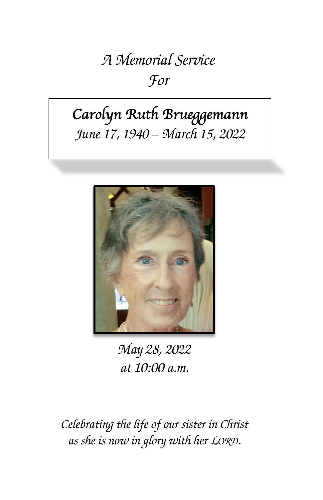# *For A Memorial Service*

### *June 17, 1940 – March 15, 2022Carolyn Ruth Brueggemann*



*May 28, 2022 at 10:00 a.m.*

*Celebrating the life of our sister in Christ as she is now in glory with her LORD.*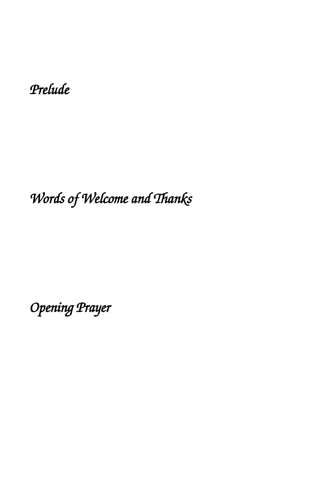### *Prelude*

*Words of Welcome and Thanks* 

*Opening Prayer*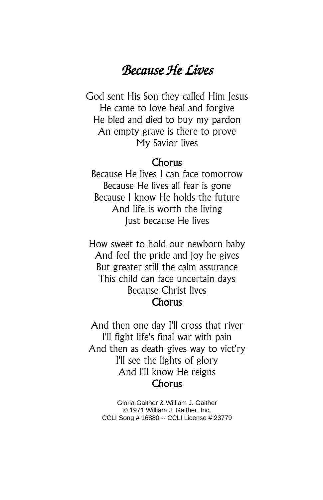### *Because He Lives*

God sent His Son they called Him Jesus He came to love heal and forgive He bled and died to buy my pardon An empty grave is there to prove My Savior lives

#### Chorus

Because He lives I can face tomorrow Because He lives all fear is gone Because I know He holds the future And life is worth the living Just because He lives

How sweet to hold our newborn baby And feel the pride and joy he gives But greater still the calm assurance This child can face uncertain days Because Christ lives **Chorus** 

And then one day I'll cross that river I'll fight life's final war with pain And then as death gives way to vict'ry I'll see the lights of glory And I'll know He reigns Chorus

Gloria Gaither & William J. Gaither © 1971 William J. Gaither, Inc. CCLI Song # 16880 -- CCLI License # 23779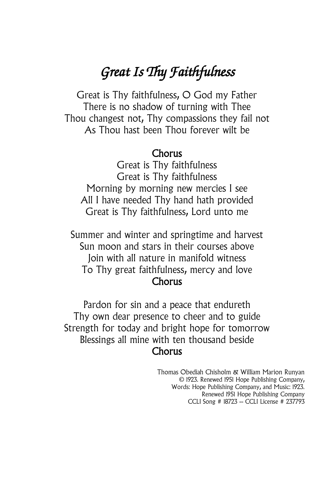# *Great Is Thy Faithfulness*

Great is Thy faithfulness, O God my Father There is no shadow of turning with Thee Thou changest not, Thy compassions they fail not As Thou hast been Thou forever wilt be

#### **Chorus**

Great is Thy faithfulness Great is Thy faithfulness Morning by morning new mercies I see All I have needed Thy hand hath provided Great is Thy faithfulness, Lord unto me

Summer and winter and springtime and harvest Sun moon and stars in their courses above Join with all nature in manifold witness To Thy great faithfulness, mercy and love **Chorus** 

Pardon for sin and a peace that endureth Thy own dear presence to cheer and to guide Strength for today and bright hope for tomorrow Blessings all mine with ten thousand beside **Chorus** 

> Thomas Obediah Chisholm & William Marion Runyan © 1923. Renewed 1951 Hope Publishing Company, Words: Hope Publishing Company, and Music: 1923. Renewed 1951 Hope Publishing Company CCLI Song # 18723 -- CCLI License # 237793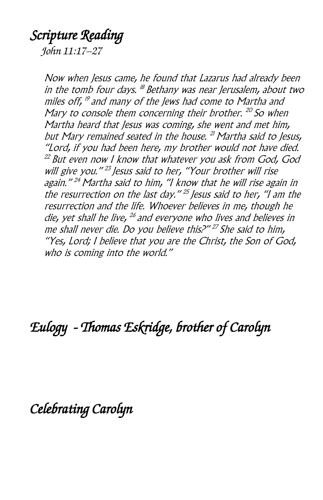### *Scripture Reading*

*John 11:17–27*

Now when Jesus came, he found that Lazarus had already been in the tomb four days. <sup>18</sup> Bethany was near Jerusalem, about two miles off, 19 and many of the Jews had come to Martha and Mary to console them concerning their brother.  $^{20}$  So when Martha heard that Jesus was coming, she went and met him, but Mary remained seated in the house. <sup>21</sup> Martha said to Jesus, "Lord, if you had been here, my brother would not have died. <sup>22</sup> But even now I know that whatever you ask from God, God will give you."<sup>23</sup> Jesus said to her, "Your brother will rise again." <sup>24</sup> Martha said to him, "I know that he will rise again in the resurrection on the last day." 25 Jesus said to her, "I am the resurrection and the life. Whoever believes in me, though he die, yet shall he live, <sup>26</sup> and everyone who lives and believes in me shall never die. Do you believe this?" 27 She said to him, "Yes, Lord; I believe that you are the Christ, the Son of God, who is coming into the world."

# *Eulogy - Thomas Eskridge, brother of Carolyn*

*Celebrating Carolyn*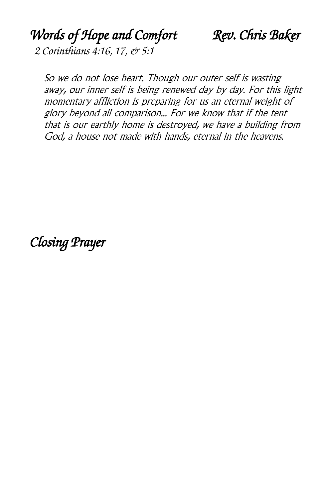## *Words of Hope and Comfort Rev. Chris Baker*

 *2 Corinthians 4:16, 17, & 5:1*

So we do not lose heart. Though our outer self is wasting away, our inner self is being renewed day by day. For this light momentary affliction is preparing for us an eternal weight of glory beyond all comparison... For we know that if the tent that is our earthly home is destroyed, we have a building from God, a house not made with hands, eternal in the heavens.

*Closing Prayer*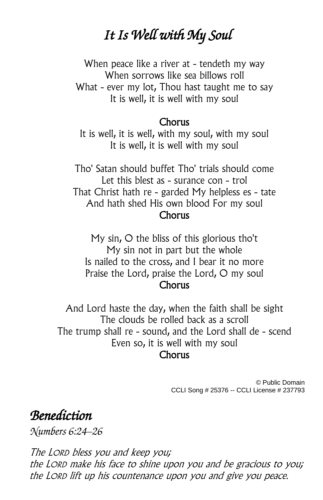# *It Is Well with My Soul*

When peace like a river at - tendeth my way When sorrows like sea billows roll What - ever my lot, Thou hast taught me to say It is well, it is well with my soul

#### **Chorus**

It is well, it is well, with my soul, with my soul It is well, it is well with my soul

Tho' Satan should buffet Tho' trials should come Let this blest as - surance con - trol That Christ hath re - garded My helpless es - tate And hath shed His own blood For my soul **Chorus** 

My sin, O the bliss of this glorious tho't My sin not in part but the whole Is nailed to the cross, and I bear it no more Praise the Lord, praise the Lord, O my soul **Chorus** 

And Lord haste the day, when the faith shall be sight The clouds be rolled back as a scroll The trump shall re - sound, and the Lord shall de - scend Even so, it is well with my soul **Chorus** 

> © Public Domain CCLI Song # 25376 -- CCLI License # 237793

*Benediction* 

*Numbers 6:24–26*

The LORD bless you and keep you; the LORD make his face to shine upon you and be gracious to you; the LORD lift up his countenance upon you and give you peace.